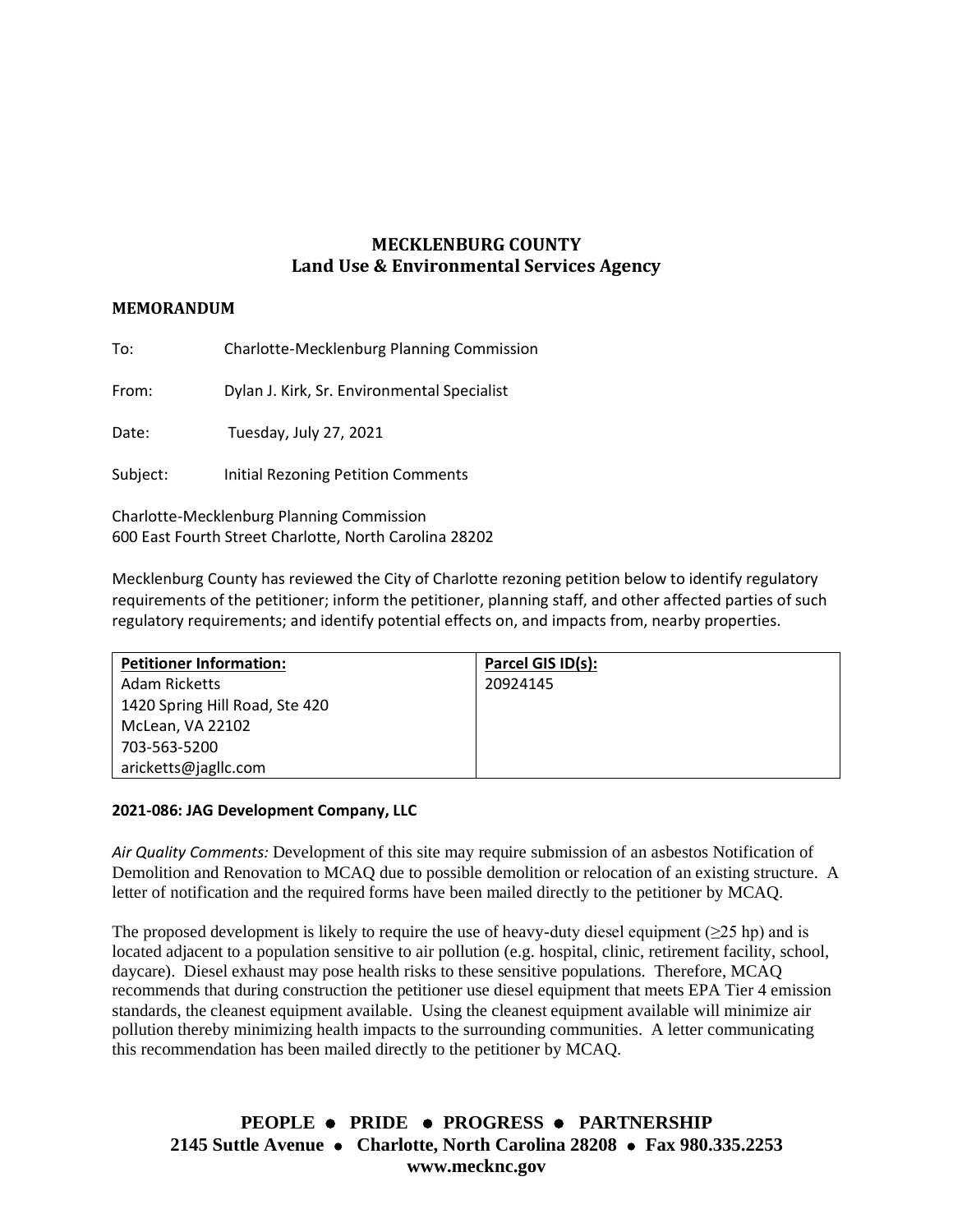# **MECKLENBURG COUNTY Land Use & Environmental Services Agency**

## **MEMORANDUM**

To: Charlotte-Mecklenburg Planning Commission

From: Dylan J. Kirk, Sr. Environmental Specialist

Date: Tuesday, July 27, 2021

Subject: Initial Rezoning Petition Comments

Charlotte-Mecklenburg Planning Commission 600 East Fourth Street Charlotte, North Carolina 28202

Mecklenburg County has reviewed the City of Charlotte rezoning petition below to identify regulatory requirements of the petitioner; inform the petitioner, planning staff, and other affected parties of such regulatory requirements; and identify potential effects on, and impacts from, nearby properties.

| <b>Petitioner Information:</b> | Parcel GIS ID(s): |
|--------------------------------|-------------------|
| Adam Ricketts                  | 20924145          |
| 1420 Spring Hill Road, Ste 420 |                   |
| McLean, VA 22102               |                   |
| 703-563-5200                   |                   |
| aricketts@jagllc.com           |                   |

### **2021-086: JAG Development Company, LLC**

*Air Quality Comments:* Development of this site may require submission of an asbestos Notification of Demolition and Renovation to MCAQ due to possible demolition or relocation of an existing structure. A letter of notification and the required forms have been mailed directly to the petitioner by MCAQ.

The proposed development is likely to require the use of heavy-duty diesel equipment ( $\geq$ 25 hp) and is located adjacent to a population sensitive to air pollution (e.g. hospital, clinic, retirement facility, school, daycare). Diesel exhaust may pose health risks to these sensitive populations. Therefore, MCAQ recommends that during construction the petitioner use diesel equipment that meets EPA Tier 4 emission standards, the cleanest equipment available. Using the cleanest equipment available will minimize air pollution thereby minimizing health impacts to the surrounding communities. A letter communicating this recommendation has been mailed directly to the petitioner by MCAQ.

**PEOPLE** ⚫ **PRIDE** ⚫ **PROGRESS** ⚫ **PARTNERSHIP 2145 Suttle Avenue** ⚫ **Charlotte, North Carolina 28208** ⚫ **Fax 980.335.2253 www.mecknc.gov**